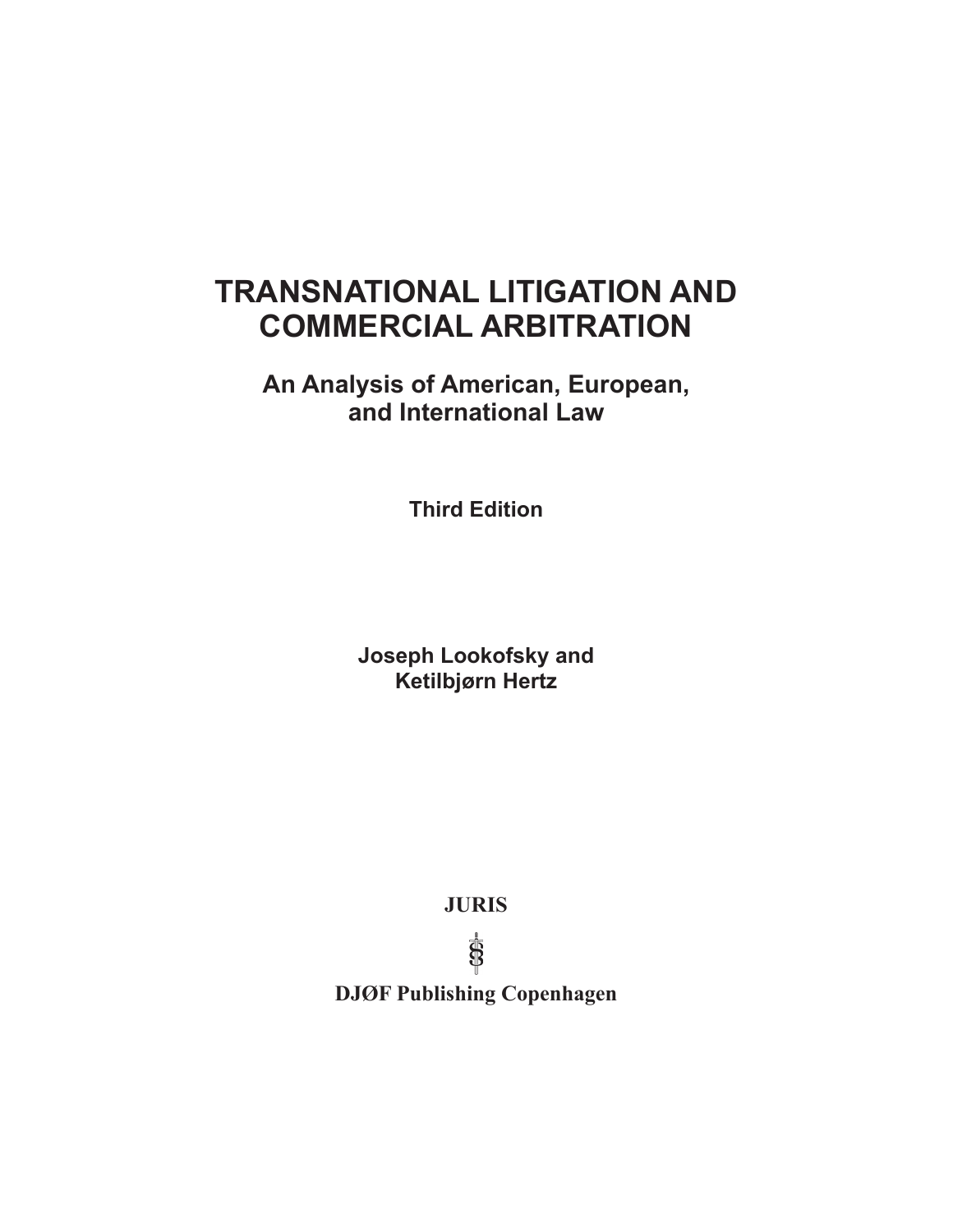# **TRANSNATIONAL LITIGATION AND COMMERCIAL ARBITRATION**

**An Analysis of American, European, and International Law**

**Third Edition**

**Joseph Lookofsky and Ketilbjørn Hertz** 

**JURIS** 

 $\overline{\overline{\mathbb{S}}}$ 

**DJØF Publishing Copenhagen**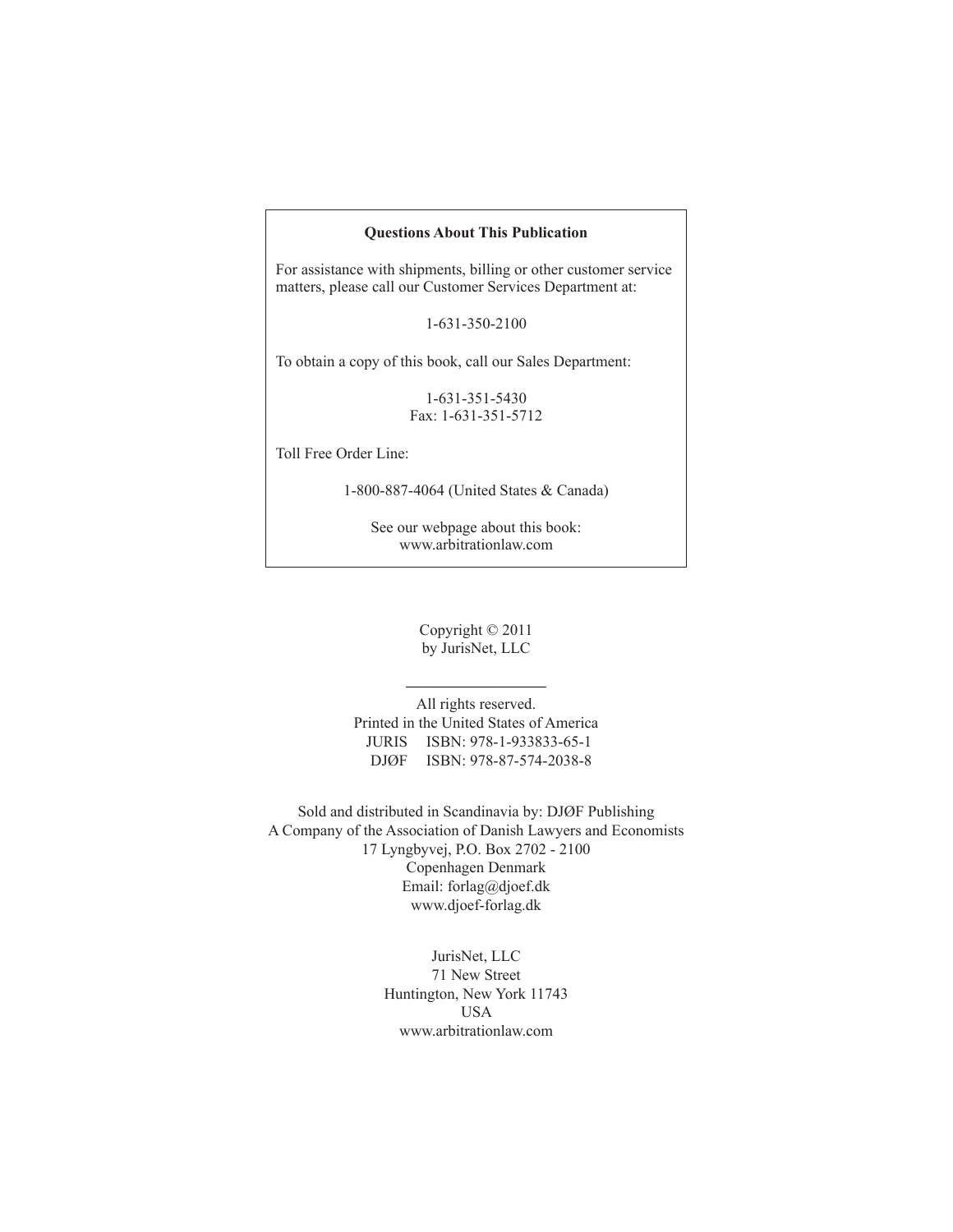#### **Questions About This Publication**

For assistance with shipments, billing or other customer service matters, please call our Customer Services Department at:

1-631-350-2100

To obtain a copy of this book, call our Sales Department:

1-631-351-5430 Fax: 1-631-351-5712

Toll Free Order Line:

1-800-887-4064 (United States & Canada)

See our webpage about this book: www.arbitrationlaw.com

> Copyright © 2011 by JurisNet, LLC

**\_\_\_\_\_\_\_\_\_\_\_\_\_\_\_\_\_\_**

All rights reserved. Printed in the United States of America JURIS ISBN: 978-1-933833-65-1 DJØF ISBN: 978-87-574-2038-8

Sold and distributed in Scandinavia by: DJØF Publishing A Company of the Association of Danish Lawyers and Economists 17 Lyngbyvej, P.O. Box 2702 - 2100 Copenhagen Denmark Email: forlag@djoef.dk www.djoef-forlag.dk

> JurisNet, LLC 71 New Street Huntington, New York 11743 USA www.arbitrationlaw.com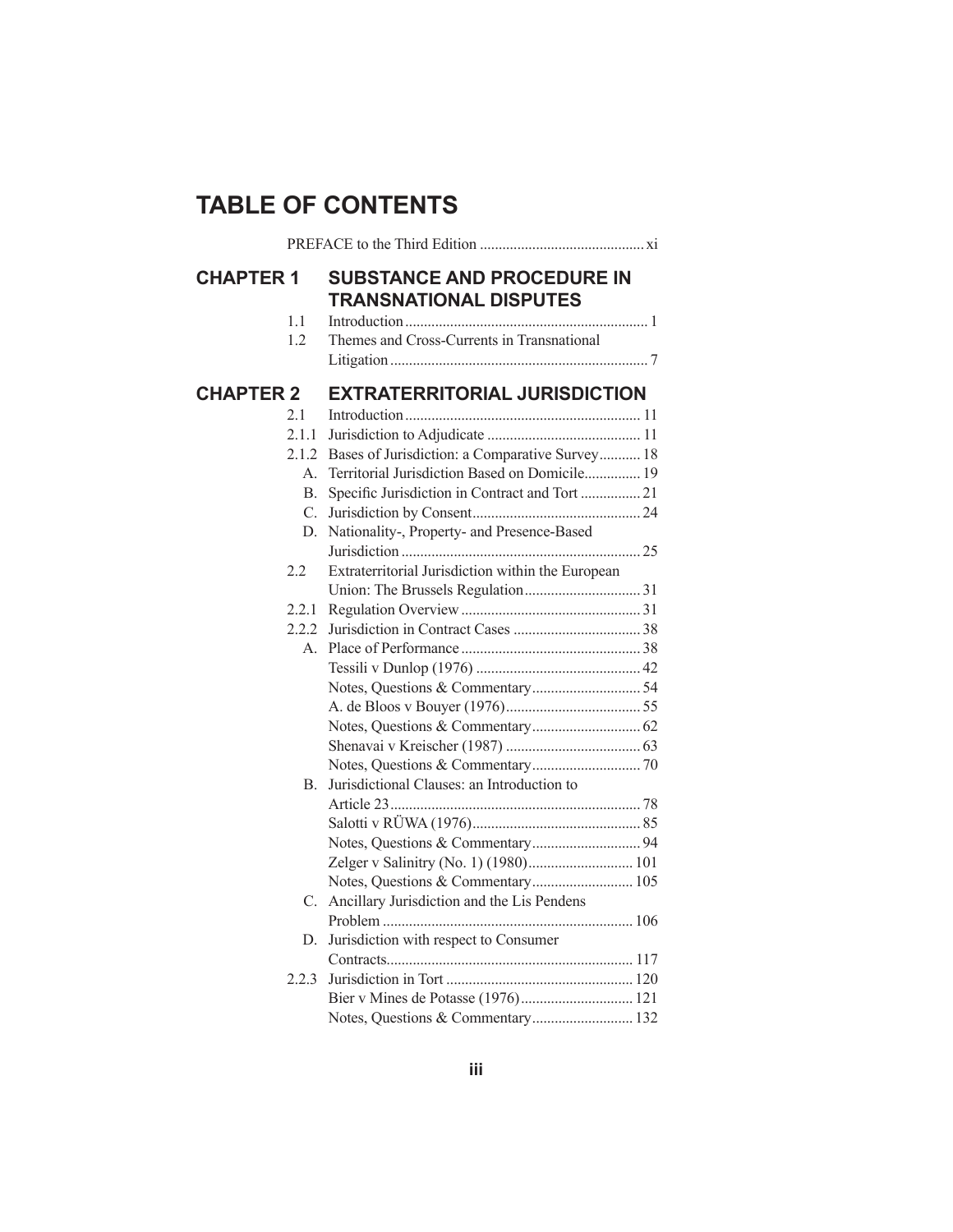## **TABLE OF CONTENTS**

| <b>CHAPTER 1</b> | <b>SUBSTANCE AND PROCEDURE IN</b><br><b>TRANSNATIONAL DISPUTES</b> |  |
|------------------|--------------------------------------------------------------------|--|
| 1.1<br>1.2       | Themes and Cross-Currents in Transnational                         |  |
| <b>CHAPTER 2</b> | <b>EXTRATERRITORIAL JURISDICTION</b>                               |  |
| 21               |                                                                    |  |
| 2.1.1            |                                                                    |  |
|                  | 2.1.2 Bases of Jurisdiction: a Comparative Survey 18               |  |
|                  | Territorial Jurisdiction Based on Domicile 19<br>$A_{-}$           |  |
|                  | Specific Jurisdiction in Contract and Tort  21<br><b>B.</b>        |  |
|                  | C.                                                                 |  |
|                  | Nationality-, Property- and Presence-Based<br>D.                   |  |
|                  |                                                                    |  |
| 2.2              | Extraterritorial Jurisdiction within the European                  |  |
|                  |                                                                    |  |
| 2.2.1            |                                                                    |  |
| 2.2.2            |                                                                    |  |
|                  |                                                                    |  |
|                  |                                                                    |  |
|                  |                                                                    |  |
|                  |                                                                    |  |
|                  |                                                                    |  |
|                  |                                                                    |  |
|                  |                                                                    |  |
|                  | Jurisdictional Clauses: an Introduction to<br>В.                   |  |
|                  |                                                                    |  |
|                  |                                                                    |  |
|                  |                                                                    |  |
|                  | Zelger v Salinitry (No. 1) (1980) 101                              |  |
|                  | Notes, Questions & Commentary 105                                  |  |
|                  | Ancillary Jurisdiction and the Lis Pendens<br>C.                   |  |
|                  |                                                                    |  |
|                  | D.<br>Jurisdiction with respect to Consumer                        |  |
|                  |                                                                    |  |
| 2.2.3            |                                                                    |  |
|                  |                                                                    |  |
|                  | Notes, Questions & Commentary 132                                  |  |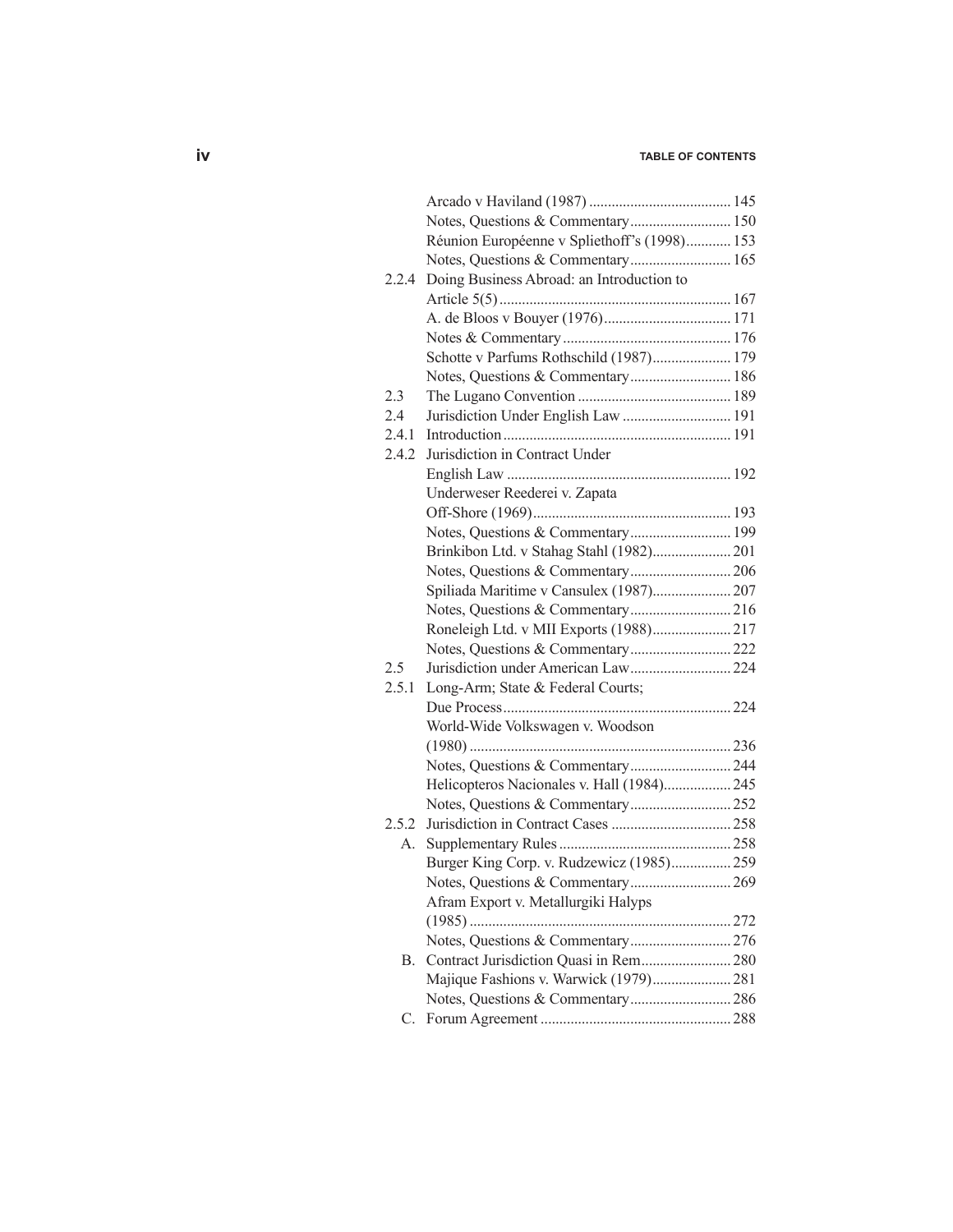## **iv table of contents**

|       | Notes, Questions & Commentary 150            |  |
|-------|----------------------------------------------|--|
|       | Réunion Européenne v Spliethoff's (1998) 153 |  |
|       | Notes, Questions & Commentary 165            |  |
| 2.2.4 | Doing Business Abroad: an Introduction to    |  |
|       |                                              |  |
|       |                                              |  |
|       |                                              |  |
|       | Schotte v Parfums Rothschild (1987) 179      |  |
|       | Notes, Questions & Commentary 186            |  |
| 2.3   |                                              |  |
| 2.4   | Jurisdiction Under English Law  191          |  |
| 2.4.1 |                                              |  |
| 2.4.2 | Jurisdiction in Contract Under               |  |
|       |                                              |  |
|       | Underweser Reederei v. Zapata                |  |
|       |                                              |  |
|       | Notes, Questions & Commentary 199            |  |
|       | Brinkibon Ltd. v Stahag Stahl (1982) 201     |  |
|       |                                              |  |
|       | Spiliada Maritime v Cansulex (1987) 207      |  |
|       |                                              |  |
|       | Roneleigh Ltd. v MII Exports (1988) 217      |  |
|       |                                              |  |
| 2.5   |                                              |  |
| 2.5.1 | Long-Arm; State & Federal Courts;            |  |
|       |                                              |  |
|       | World-Wide Volkswagen v. Woodson             |  |
|       |                                              |  |
|       |                                              |  |
|       | Helicopteros Nacionales v. Hall (1984) 245   |  |
|       |                                              |  |
| 2.5.2 |                                              |  |
| А.    |                                              |  |
|       | Burger King Corp. v. Rudzewicz (1985) 259    |  |
|       |                                              |  |
|       | Afram Export v. Metallurgiki Halyps          |  |
|       |                                              |  |
|       |                                              |  |
| В.    |                                              |  |
|       | Majique Fashions v. Warwick (1979) 281       |  |
|       |                                              |  |
| C.    |                                              |  |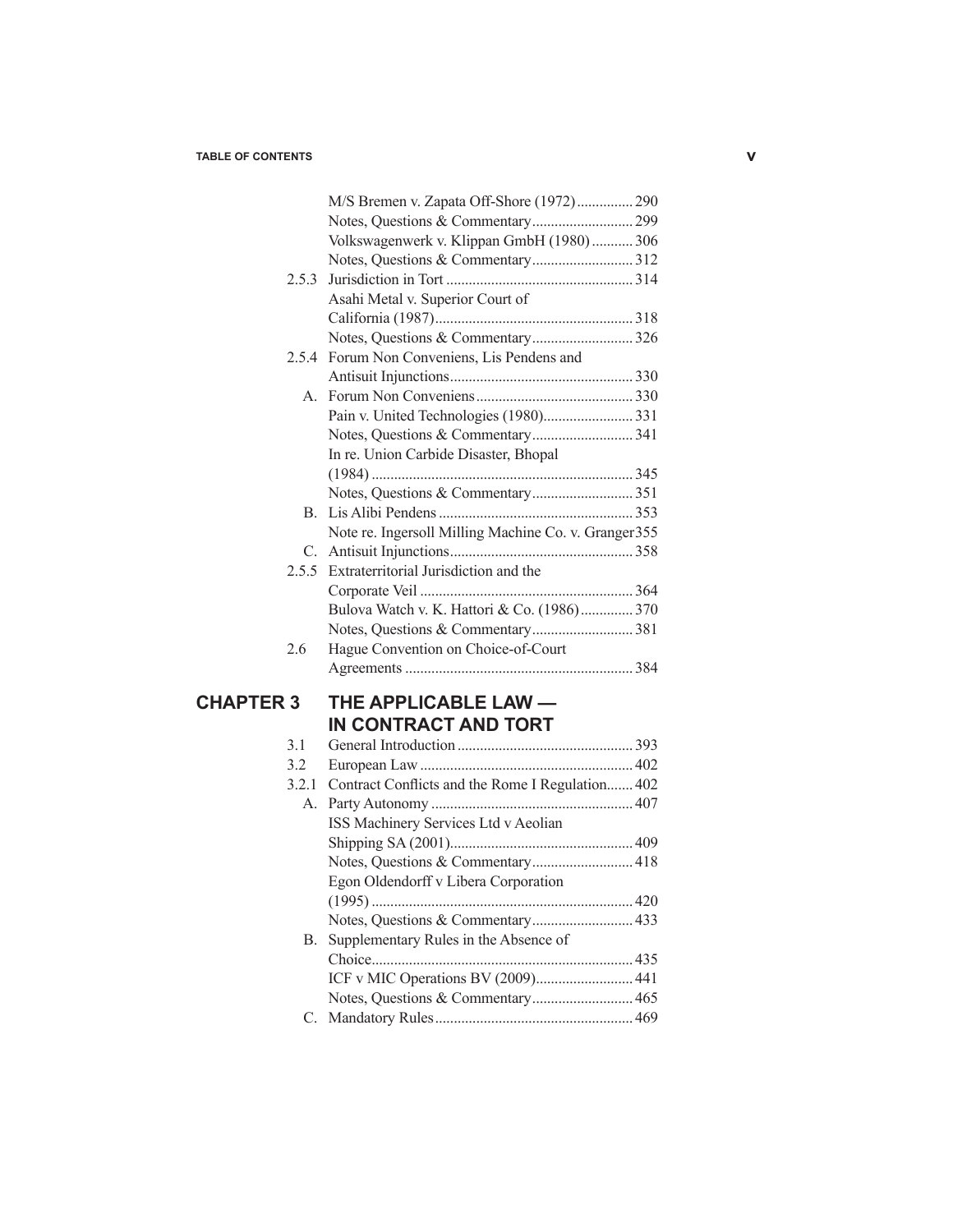|                  |         | M/S Bremen v. Zapata Off-Shore (1972) 290             |  |
|------------------|---------|-------------------------------------------------------|--|
|                  |         |                                                       |  |
|                  |         | Volkswagenwerk v. Klippan GmbH (1980)  306            |  |
|                  |         |                                                       |  |
|                  | 2.5.3   |                                                       |  |
|                  |         | Asahi Metal v. Superior Court of                      |  |
|                  |         |                                                       |  |
|                  |         |                                                       |  |
|                  | 2.5.4   | Forum Non Conveniens, Lis Pendens and                 |  |
|                  |         |                                                       |  |
|                  | $A_{-}$ |                                                       |  |
|                  |         |                                                       |  |
|                  |         |                                                       |  |
|                  |         | In re. Union Carbide Disaster, Bhopal                 |  |
|                  |         |                                                       |  |
|                  |         |                                                       |  |
|                  |         |                                                       |  |
|                  |         | Note re. Ingersoll Milling Machine Co. v. Granger 355 |  |
|                  |         |                                                       |  |
|                  | 2.5.5   | Extraterritorial Jurisdiction and the                 |  |
|                  |         |                                                       |  |
|                  |         | Bulova Watch v. K. Hattori & Co. (1986) 370           |  |
|                  |         |                                                       |  |
|                  | 2.6     | Hague Convention on Choice-of-Court                   |  |
|                  |         |                                                       |  |
|                  |         |                                                       |  |
| <b>CHAPTER 3</b> |         | THE APPLICABLE LAW -                                  |  |
|                  |         | IN CONTRACT AND TORT                                  |  |
|                  | 3.1     |                                                       |  |
|                  | 3.2     |                                                       |  |
|                  | 3.2.1   | Contract Conflicts and the Rome I Regulation 402      |  |
|                  | А.      |                                                       |  |
|                  |         | ISS Machinery Services Ltd v Aeolian                  |  |
|                  |         |                                                       |  |
|                  |         |                                                       |  |
|                  |         | Egon Oldendorff v Libera Corporation                  |  |
|                  |         |                                                       |  |
|                  |         |                                                       |  |
|                  | В.      | Supplementary Rules in the Absence of                 |  |
|                  |         |                                                       |  |
|                  |         | ICF v MIC Operations BV (2009) 441                    |  |
|                  |         |                                                       |  |
|                  | C.      |                                                       |  |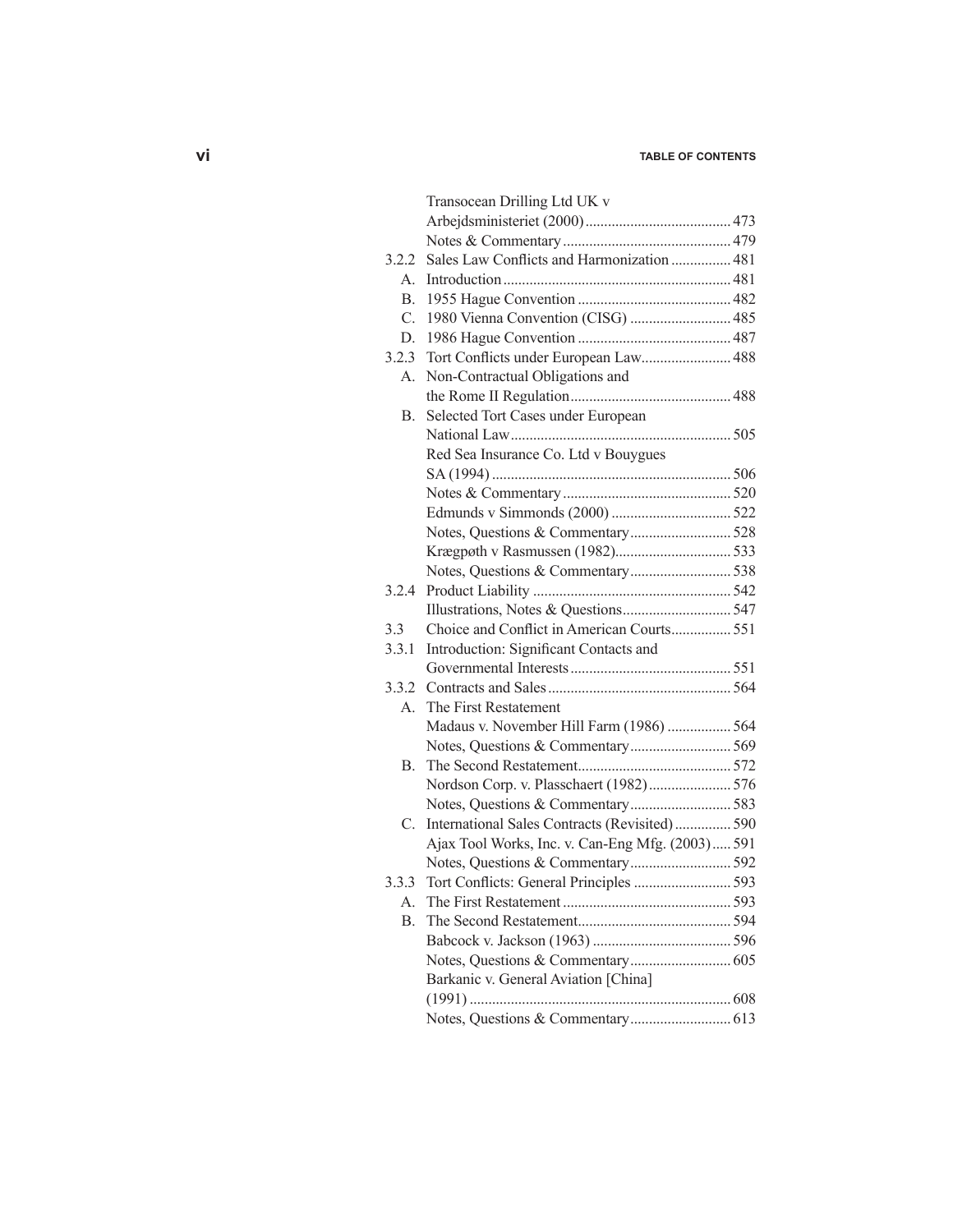## **vi table of contents**

|             | Transocean Drilling Ltd UK v                     |  |
|-------------|--------------------------------------------------|--|
|             |                                                  |  |
|             |                                                  |  |
| 3.2.2       | Sales Law Conflicts and Harmonization  481       |  |
| $A_{\cdot}$ |                                                  |  |
| B.          |                                                  |  |
| C.          | 1980 Vienna Convention (CISG)  485               |  |
| D.          |                                                  |  |
| 3.2.3       | Tort Conflicts under European Law 488            |  |
| А.          | Non-Contractual Obligations and                  |  |
|             |                                                  |  |
| <b>B.</b>   | Selected Tort Cases under European               |  |
|             |                                                  |  |
|             | Red Sea Insurance Co. Ltd v Bouygues             |  |
|             |                                                  |  |
|             |                                                  |  |
|             |                                                  |  |
|             |                                                  |  |
|             |                                                  |  |
|             |                                                  |  |
| 3.2.4       |                                                  |  |
|             |                                                  |  |
| 3.3         | Choice and Conflict in American Courts 551       |  |
| 3.3.1       | Introduction: Significant Contacts and           |  |
|             |                                                  |  |
| 3.3.2       |                                                  |  |
| А.          | The First Restatement                            |  |
|             | Madaus v. November Hill Farm (1986)  564         |  |
|             |                                                  |  |
| B.          |                                                  |  |
|             | Nordson Corp. v. Plasschaert (1982) 576          |  |
|             |                                                  |  |
| C.          | International Sales Contracts (Revisited) 590    |  |
|             | Ajax Tool Works, Inc. v. Can-Eng Mfg. (2003) 591 |  |
|             |                                                  |  |
| 3.3.3       |                                                  |  |
| А.          |                                                  |  |
| B.          |                                                  |  |
|             |                                                  |  |
|             |                                                  |  |
|             | Barkanic v. General Aviation [China]             |  |
|             |                                                  |  |
|             |                                                  |  |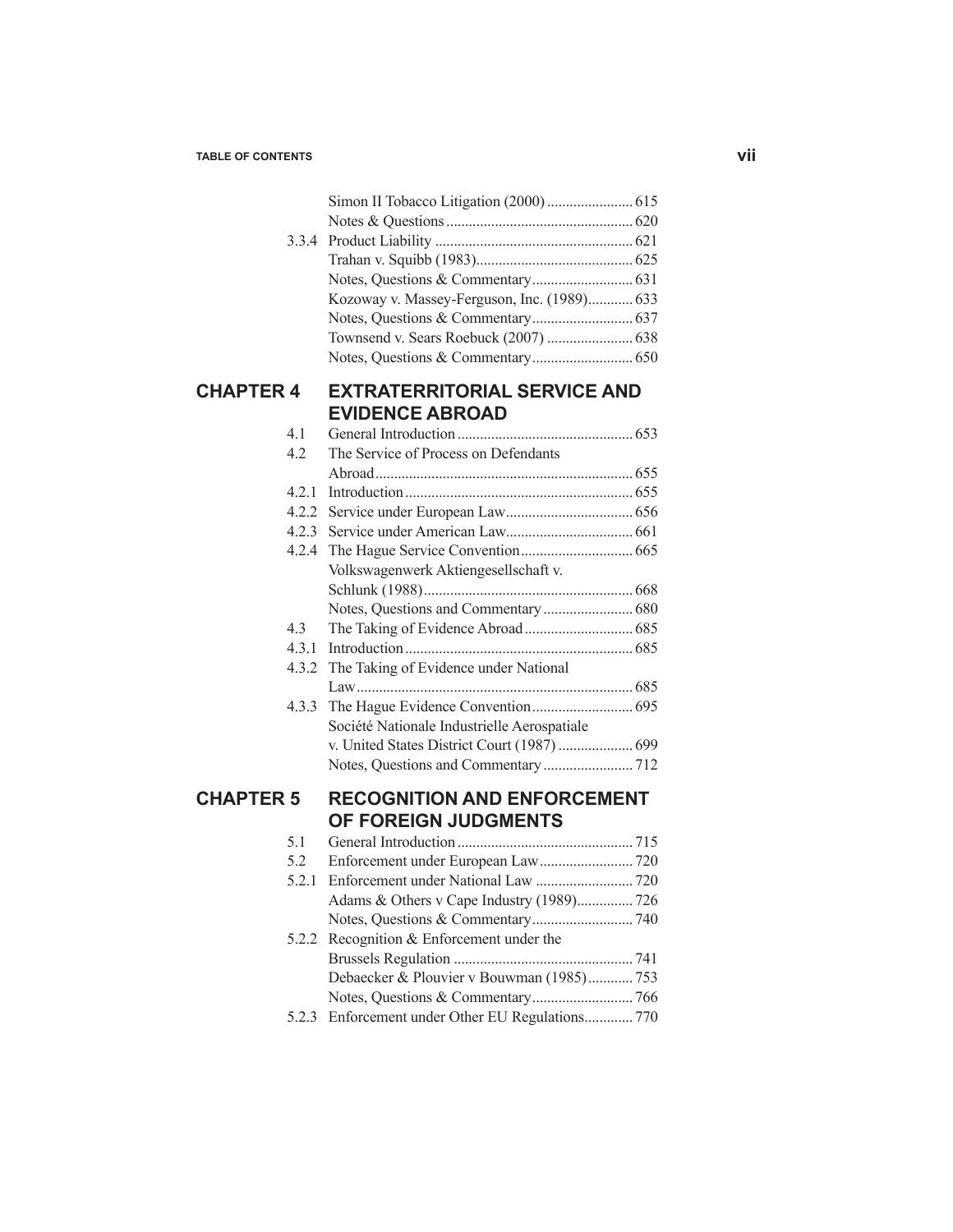|                  |       | Kozoway v. Massey-Ferguson, Inc. (1989) 633 |  |
|------------------|-------|---------------------------------------------|--|
|                  |       |                                             |  |
|                  |       |                                             |  |
|                  |       |                                             |  |
| <b>CHAPTER 4</b> |       | <b>EXTRATERRITORIAL SERVICE AND</b>         |  |
|                  |       | <b>EVIDENCE ABROAD</b>                      |  |
|                  | 4.1   |                                             |  |
|                  | 4.2   | The Service of Process on Defendants        |  |
|                  |       |                                             |  |
|                  | 4.2.1 |                                             |  |
|                  |       |                                             |  |
|                  |       |                                             |  |
|                  | 4.2.4 |                                             |  |
|                  |       | Volkswagenwerk Aktiengesellschaft v.        |  |
|                  |       |                                             |  |
|                  |       |                                             |  |
|                  | 4.3   |                                             |  |
|                  | 4.3.1 |                                             |  |
|                  | 4.3.2 | The Taking of Evidence under National       |  |
|                  |       |                                             |  |
|                  | 4.3.3 |                                             |  |
|                  |       | Société Nationale Industrielle Aerospatiale |  |
|                  |       |                                             |  |
|                  |       |                                             |  |
| <b>CHAPTER 5</b> |       | <b>RECOGNITION AND ENFORCEMENT</b>          |  |
|                  |       | OF FOREIGN JUDGMENTS                        |  |
|                  | 5.1   |                                             |  |
|                  | 5.2   |                                             |  |
|                  | 5.2.1 |                                             |  |
|                  |       | Adams & Others v Cape Industry (1989)726    |  |
|                  |       |                                             |  |
|                  | 5.2.2 | Recognition & Enforcement under the         |  |
|                  |       |                                             |  |
|                  |       | Debaecker & Plouvier v Bouwman (1985)753    |  |
|                  |       |                                             |  |
|                  | 5.2.3 | Enforcement under Other EU Regulations 770  |  |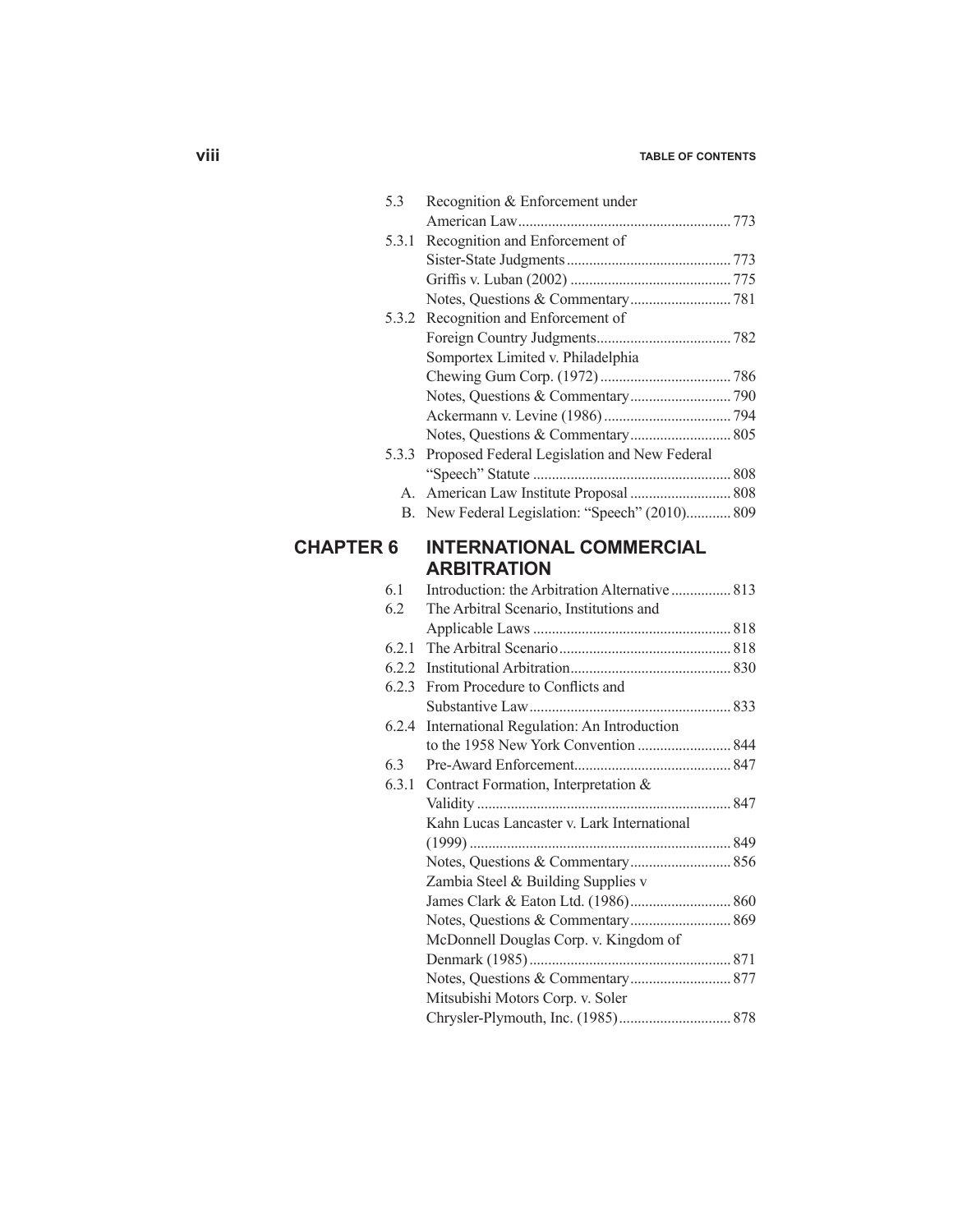## **viii table of contents**

|                  | 5.3   | Recognition & Enforcement under                    |  |
|------------------|-------|----------------------------------------------------|--|
|                  |       |                                                    |  |
|                  | 5.3.1 | Recognition and Enforcement of                     |  |
|                  |       |                                                    |  |
|                  |       |                                                    |  |
|                  |       |                                                    |  |
|                  | 5.3.2 | Recognition and Enforcement of                     |  |
|                  |       |                                                    |  |
|                  |       | Somportex Limited v. Philadelphia                  |  |
|                  |       |                                                    |  |
|                  |       |                                                    |  |
|                  |       |                                                    |  |
|                  |       |                                                    |  |
|                  |       | 5.3.3 Proposed Federal Legislation and New Federal |  |
|                  |       |                                                    |  |
|                  |       |                                                    |  |
|                  |       | B. New Federal Legislation: "Speech" (2010) 809    |  |
| <b>CHAPTER 6</b> |       | <b>INTERNATIONAL COMMERCIAL</b>                    |  |
|                  |       | <b>ARBITRATION</b>                                 |  |
|                  | 6.1   | Introduction: the Arbitration Alternative  813     |  |
|                  | 6.2   | The Arbitral Scenario, Institutions and            |  |
|                  |       |                                                    |  |
|                  | 6.2.1 |                                                    |  |
|                  | 6.2.2 |                                                    |  |
|                  | 6.2.3 | From Procedure to Conflicts and                    |  |
|                  |       |                                                    |  |
|                  | 6.2.4 | International Regulation: An Introduction          |  |
|                  |       |                                                    |  |
|                  | 6.3   |                                                    |  |
|                  |       | 6.3.1 Contract Formation, Interpretation $\&$      |  |
|                  |       |                                                    |  |
|                  |       | Kahn Lucas Lancaster v. Lark International         |  |
|                  |       |                                                    |  |
|                  |       |                                                    |  |
|                  |       | Zambia Steel & Building Supplies v                 |  |
|                  |       |                                                    |  |
|                  |       |                                                    |  |
|                  |       | McDonnell Douglas Corp. v. Kingdom of              |  |
|                  |       |                                                    |  |
|                  |       |                                                    |  |
|                  |       | Mitsubishi Motors Corp. v. Soler                   |  |
|                  |       |                                                    |  |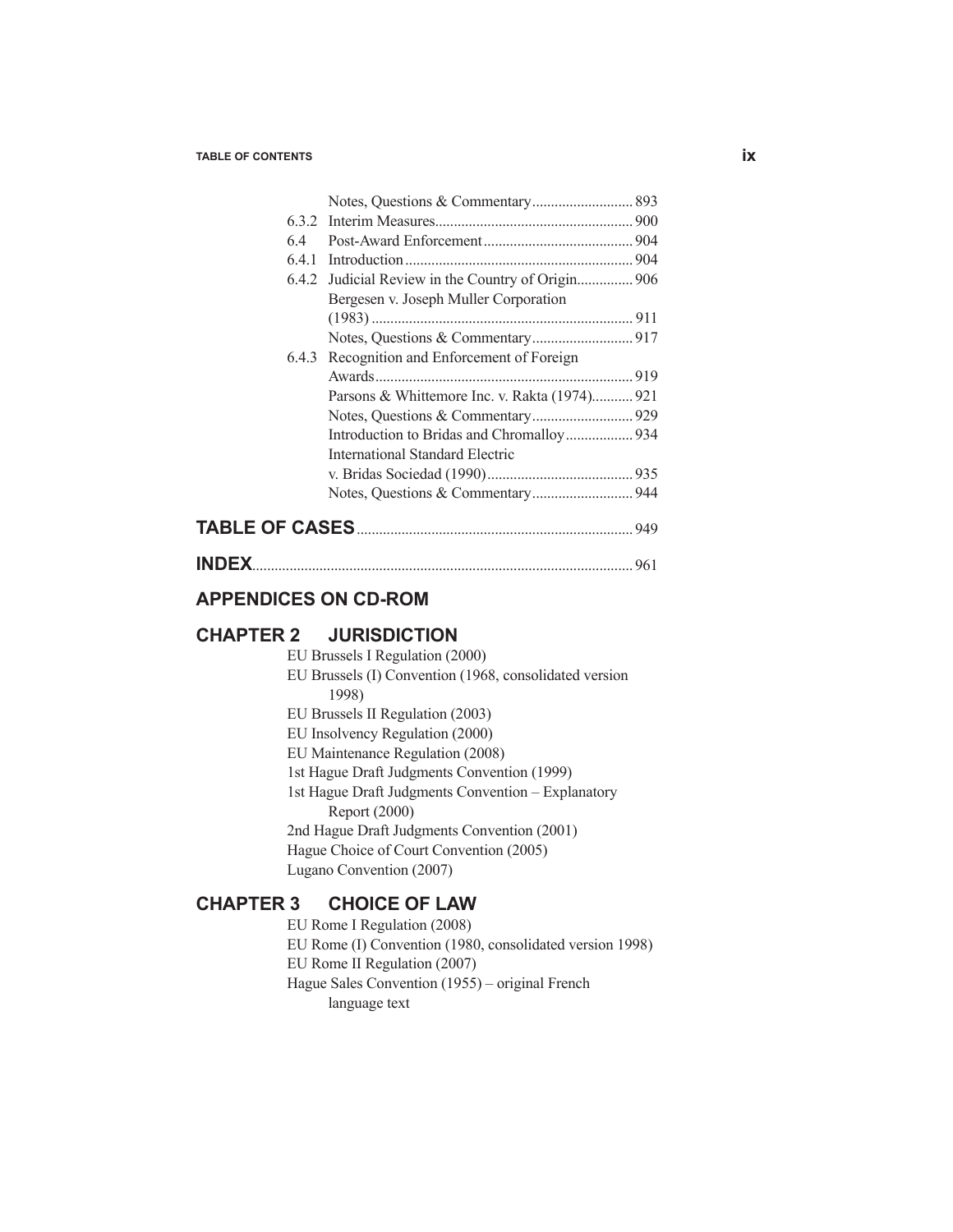**TABLE** 

| 6.4   |                                               |  |
|-------|-----------------------------------------------|--|
|       | 6.4.1 Introduction.                           |  |
| 6.4.2 |                                               |  |
|       | Bergesen v. Joseph Muller Corporation         |  |
|       |                                               |  |
|       |                                               |  |
|       | 6.4.3 Recognition and Enforcement of Foreign  |  |
|       | Awards                                        |  |
|       | Parsons & Whittemore Inc. v. Rakta (1974) 921 |  |
|       |                                               |  |
|       | Introduction to Bridas and Chromalloy 934     |  |
|       | <b>International Standard Electric</b>        |  |
|       |                                               |  |
|       |                                               |  |
|       |                                               |  |

| <b>INDEX</b> |  |
|--------------|--|
|--------------|--|

## **APPENDICES ON CD-ROM**

## **CHAPTER 2 JURISDICTION**

- EU Brussels I Regulation (2000)
- EU Brussels (I) Convention (1968, consolidated version 1998)
- EU Brussels II Regulation (2003)
- EU Insolvency Regulation (2000)
- EU Maintenance Regulation (2008)
- 1st Hague Draft Judgments Convention (1999)
- 1st Hague Draft Judgments Convention Explanatory Report (2000)
- 2nd Hague Draft Judgments Convention (2001) Hague Choice of Court Convention (2005)
- Lugano Convention (2007)

#### **CHAPTER 3 CHOICE OF LAW**

- EU Rome I Regulation (2008)
- EU Rome (I) Convention (1980, consolidated version 1998)
- EU Rome II Regulation (2007)
- Hague Sales Convention (1955) original French

language text